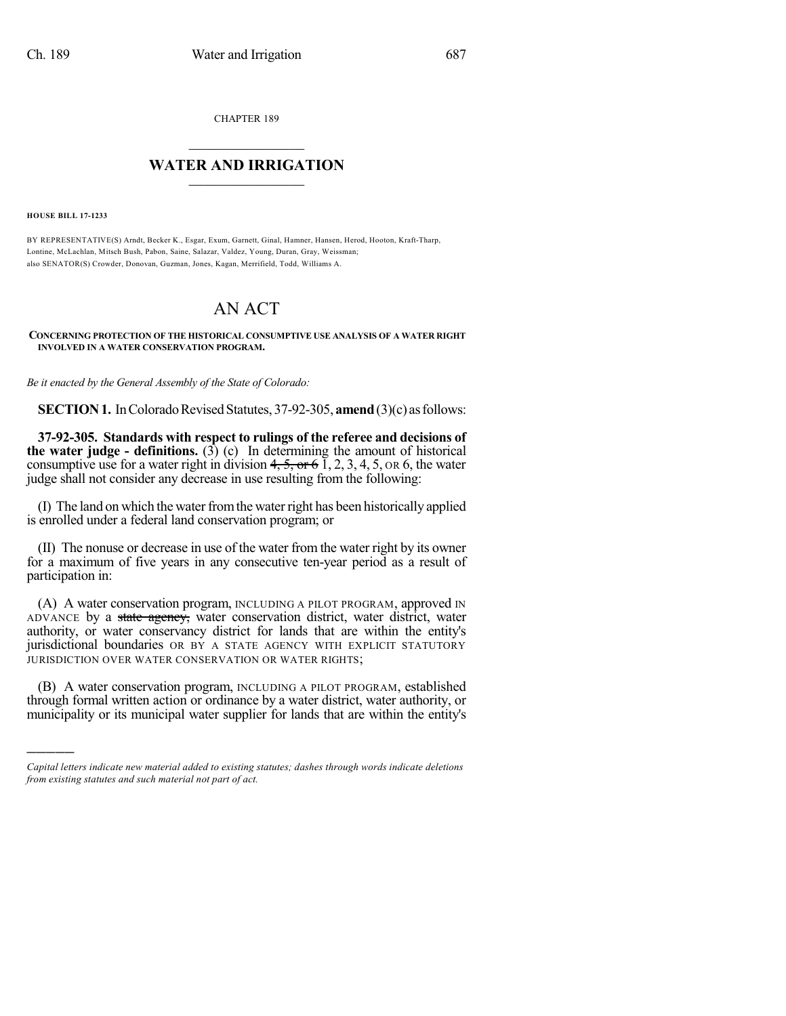CHAPTER 189

## $\overline{\phantom{a}}$  . The set of the set of the set of the set of the set of the set of the set of the set of the set of the set of the set of the set of the set of the set of the set of the set of the set of the set of the set o **WATER AND IRRIGATION**  $\_$   $\_$

**HOUSE BILL 17-1233**

)))))

BY REPRESENTATIVE(S) Arndt, Becker K., Esgar, Exum, Garnett, Ginal, Hamner, Hansen, Herod, Hooton, Kraft-Tharp, Lontine, McLachlan, Mitsch Bush, Pabon, Saine, Salazar, Valdez, Young, Duran, Gray, Weissman; also SENATOR(S) Crowder, Donovan, Guzman, Jones, Kagan, Merrifield, Todd, Williams A.

## AN ACT

**CONCERNING PROTECTION OF THE HISTORICAL CONSUMPTIVE USE ANALYSIS OF A WATER RIGHT INVOLVED IN A WATER CONSERVATION PROGRAM.**

*Be it enacted by the General Assembly of the State of Colorado:*

**SECTION 1.** In Colorado Revised Statutes, 37-92-305, **amend** (3)(c) as follows:

**37-92-305. Standards with respect to rulings of the referee and decisions of the water judge - definitions.** (3) (c) In determining the amount of historical consumptive use for a water right in division  $4, 5,$  or 6 1, 2, 3, 4, 5, or 6, the water judge shall not consider any decrease in use resulting from the following:

(I) The land on which the water from the water right has been historically applied is enrolled under a federal land conservation program; or

(II) The nonuse or decrease in use of the water from the water right by its owner for a maximum of five years in any consecutive ten-year period as a result of participation in:

(A) A water conservation program, INCLUDING A PILOT PROGRAM, approved IN ADVANCE by a state agency, water conservation district, water district, water authority, or water conservancy district for lands that are within the entity's jurisdictional boundaries OR BY A STATE AGENCY WITH EXPLICIT STATUTORY JURISDICTION OVER WATER CONSERVATION OR WATER RIGHTS;

(B) A water conservation program, INCLUDING A PILOT PROGRAM, established through formal written action or ordinance by a water district, water authority, or municipality or its municipal water supplier for lands that are within the entity's

*Capital letters indicate new material added to existing statutes; dashes through words indicate deletions from existing statutes and such material not part of act.*